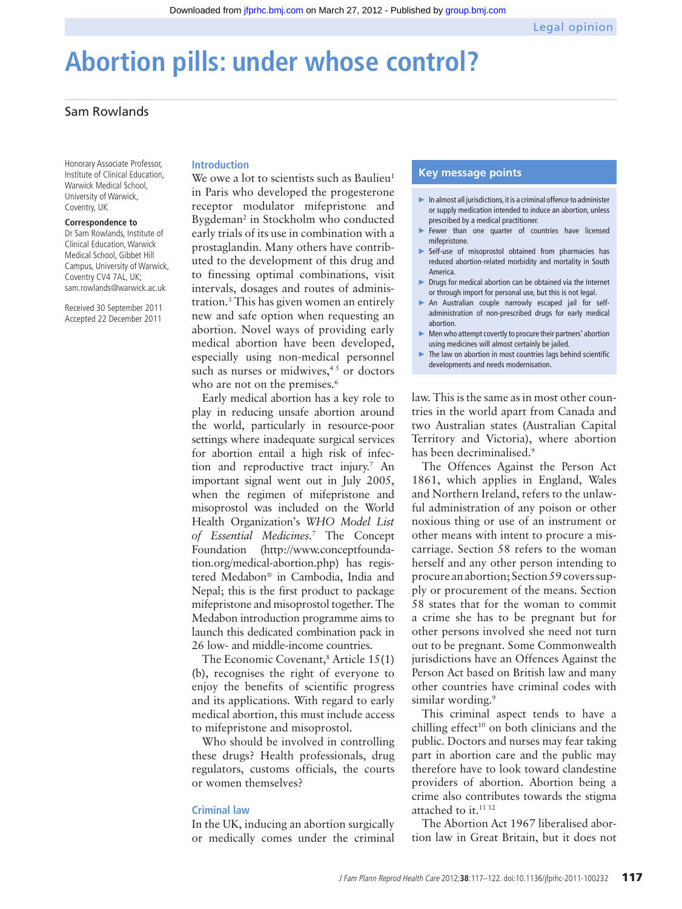# **Abortion pills: under whose control?**

# Sam Rowlands

Honorary Associate Professor, Institute of Clinical Education, Warwick Medical School, University of Warwick, Coventry, UK

#### **Correspondence to**

Dr Sam Rowlands, Institute of Clinical Education, Warwick Medical School, Gibbet Hill Campus, University of Warwick, Coventry CV4 7AL, UK; sam.rowlands@warwick.ac.uk

Received 30 September 2011 Accepted 22 December 2011

#### **Introduction**

We owe a lot to scientists such as Baulieu<sup>1</sup> in Paris who developed the progesterone receptor modulator mifepristone and Bygdeman2 in Stockholm who conducted early trials of its use in combination with a prostaglandin. Many others have contributed to the development of this drug and to finessing optimal combinations, visit intervals, dosages and routes of administration.3 This has given women an entirely new and safe option when requesting an abortion. Novel ways of providing early medical abortion have been developed, especially using non-medical personnel such as nurses or midwives,<sup>45</sup> or doctors who are not on the premises.<sup>6</sup>

Early medical abortion has a key role to play in reducing unsafe abortion around the world, particularly in resource-poor settings where inadequate surgical services for abortion entail a high risk of infection and reproductive tract injury.<sup>7</sup> An important signal went out in July 2005, when the regimen of mifepristone and misoprostol was included on the World Health Organization's *WHO Model List of Essential Medicines*. 7 The Concept Foundation (http://www.conceptfoundation.org/medical-abortion.php) has registered Medabon® in Cambodia, India and Nepal; this is the first product to package mifepristone and misoprostol together. The Medabon introduction programme aims to launch this dedicated combination pack in 26 low- and middle-income countries.

The Economic Covenant,<sup>8</sup> Article 15(1) (b), recognises the right of everyone to enjoy the benefits of scientific progress and its applications. With regard to early medical abortion, this must include access to mifepristone and misoprostol.

Who should be involved in controlling these drugs? Health professionals, drug regulators, customs officials, the courts or women themselves?

#### **Criminal law**

In the UK, inducing an abortion surgically or medically comes under the criminal

# **Key message points**

- ▶ In almost all jurisdictions, it is a criminal offence to administer or supply medication intended to induce an abortion, unless prescribed by a medical practitioner.
- Fewer than one quarter of countries have licensed mifepristone.
- ▶ Self-use of misoprostol obtained from pharmacies has reduced abortion-related morbidity and mortality in South America.
- ▶ Drugs for medical abortion can be obtained via the Internet or through import for personal use, but this is not legal.
- ▶ An Australian couple narrowly escaped jail for selfadministration of non-prescribed drugs for early medical abortion.
- Men who attempt covertly to procure their partners' abortion using medicines will almost certainly be jailed.
- $\blacktriangleright$  The law on abortion in most countries lags behind scientific developments and needs modernisation.

law. This is the same as in most other countries in the world apart from Canada and two Australian states (Australian Capital Territory and Victoria), where abortion has been decriminalised.9

The Offences Against the Person Act 1861, which applies in England, Wales and Northern Ireland, refers to the unlawful administration of any poison or other noxious thing or use of an instrument or other means with intent to procure a miscarriage. Section 58 refers to the woman herself and any other person intending to procure an abortion; Section 59 covers supply or procurement of the means. Section 58 states that for the woman to commit a crime she has to be pregnant but for other persons involved she need not turn out to be pregnant. Some Commonwealth jurisdictions have an Offences Against the Person Act based on British law and many other countries have criminal codes with similar wording.<sup>9</sup>

This criminal aspect tends to have a chilling effect $10$  on both clinicians and the public. Doctors and nurses may fear taking part in abortion care and the public may therefore have to look toward clandestine providers of abortion. Abortion being a crime also contributes towards the stigma attached to it.11 12

The Abortion Act 1967 liberalised abortion law in Great Britain, but it does not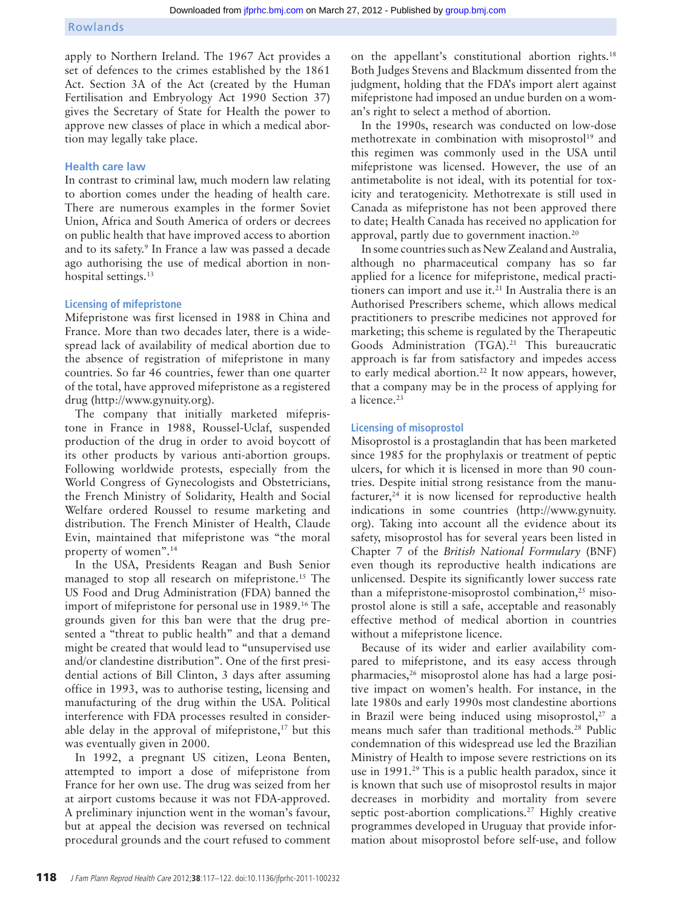apply to Northern Ireland. The 1967 Act provides a set of defences to the crimes established by the 1861 Act. Section 3A of the Act (created by the Human Fertilisation and Embryology Act 1990 Section 37) gives the Secretary of State for Health the power to approve new classes of place in which a medical abortion may legally take place.

# **Health care law**

In contrast to criminal law, much modern law relating to abortion comes under the heading of health care. There are numerous examples in the former Soviet Union, Africa and South America of orders or decrees on public health that have improved access to abortion and to its safety.9 In France a law was passed a decade ago authorising the use of medical abortion in nonhospital settings.<sup>13</sup>

#### **Licensing of mifepristone**

Mifepristone was first licensed in 1988 in China and France. More than two decades later, there is a widespread lack of availability of medical abortion due to the absence of registration of mifepristone in many countries. So far 46 countries, fewer than one quarter of the total, have approved mifepristone as a registered drug (http://www.gynuity.org).

The company that initially marketed mifepristone in France in 1988, Roussel-Uclaf, suspended production of the drug in order to avoid boycott of its other products by various anti-abortion groups. Following worldwide protests, especially from the World Congress of Gynecologists and Obstetricians, the French Ministry of Solidarity, Health and Social Welfare ordered Roussel to resume marketing and distribution. The French Minister of Health, Claude Evin, maintained that mifepristone was "the moral property of women".14

In the USA, Presidents Reagan and Bush Senior managed to stop all research on mifepristone.<sup>15</sup> The US Food and Drug Administration (FDA) banned the import of mifepristone for personal use in 1989.<sup>16</sup> The grounds given for this ban were that the drug presented a "threat to public health" and that a demand might be created that would lead to "unsupervised use and/or clandestine distribution". One of the first presidential actions of Bill Clinton, 3 days after assuming office in 1993, was to authorise testing, licensing and manufacturing of the drug within the USA. Political interference with FDA processes resulted in considerable delay in the approval of mifepristone, $17$  but this was eventually given in 2000.

In 1992, a pregnant US citizen, Leona Benten, attempted to import a dose of mifepristone from France for her own use. The drug was seized from her at airport customs because it was not FDA-approved. A preliminary injunction went in the woman's favour, but at appeal the decision was reversed on technical procedural grounds and the court refused to comment

on the appellant's constitutional abortion rights.<sup>18</sup> Both Judges Stevens and Blackmum dissented from the judgment, holding that the FDA's import alert against mifepristone had imposed an undue burden on a woman's right to select a method of abortion.

In the 1990s, research was conducted on low-dose methotrexate in combination with misoprostol<sup>19</sup> and this regimen was commonly used in the USA until mifepristone was licensed. However, the use of an antimetabolite is not ideal, with its potential for toxicity and teratogenicity. Methotrexate is still used in Canada as mifepristone has not been approved there to date; Health Canada has received no application for approval, partly due to government inaction.20

In some countries such as New Zealand and Australia, although no pharmaceutical company has so far applied for a licence for mifepristone, medical practitioners can import and use it.<sup>21</sup> In Australia there is an Authorised Prescribers scheme, which allows medical practitioners to prescribe medicines not approved for marketing; this scheme is regulated by the Therapeutic Goods Administration (TGA).<sup>21</sup> This bureaucratic approach is far from satisfactory and impedes access to early medical abortion.<sup>22</sup> It now appears, however, that a company may be in the process of applying for a licence.<sup>23</sup>

#### **Licensing of misoprostol**

Misoprostol is a prostaglandin that has been marketed since 1985 for the prophylaxis or treatment of peptic ulcers, for which it is licensed in more than 90 countries. Despite initial strong resistance from the manufacturer, $24$  it is now licensed for reproductive health indications in some countries (http://www.gynuity. org). Taking into account all the evidence about its safety, misoprostol has for several years been listed in Chapter 7 of the *British National Formulary* (BNF) even though its reproductive health indications are unlicensed. Despite its significantly lower success rate than a mifepristone-misoprostol combination, $25$  misoprostol alone is still a safe, acceptable and reasonably effective method of medical abortion in countries without a mifepristone licence.

Because of its wider and earlier availability compared to mifepristone, and its easy access through pharmacies,26 misoprostol alone has had a large positive impact on women's health. For instance, in the late 1980s and early 1990s most clandestine abortions in Brazil were being induced using misoprostol, $27$  a means much safer than traditional methods.<sup>28</sup> Public condemnation of this widespread use led the Brazilian Ministry of Health to impose severe restrictions on its use in 1991.<sup>29</sup> This is a public health paradox, since it is known that such use of misoprostol results in major decreases in morbidity and mortality from severe septic post-abortion complications.<sup>27</sup> Highly creative programmes developed in Uruguay that provide information about misoprostol before self-use, and follow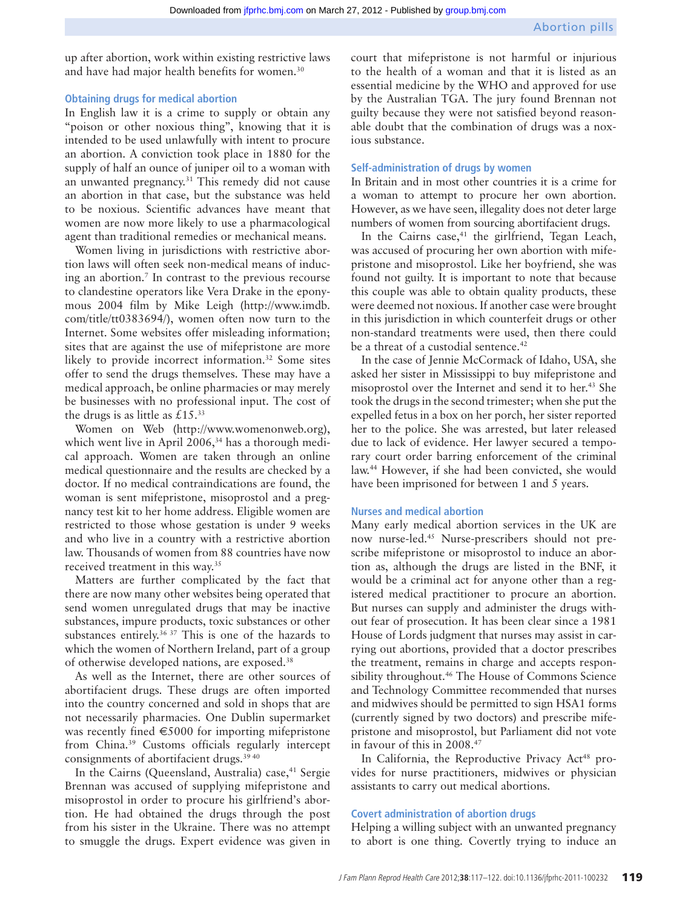up after abortion, work within existing restrictive laws and have had major health benefits for women.<sup>30</sup>

#### **Obtaining drugs for medical abortion**

In English law it is a crime to supply or obtain any "poison or other noxious thing", knowing that it is intended to be used unlawfully with intent to procure an abortion. A conviction took place in 1880 for the supply of half an ounce of juniper oil to a woman with an unwanted pregnancy.31 This remedy did not cause an abortion in that case, but the substance was held to be noxious. Scientific advances have meant that women are now more likely to use a pharmacological agent than traditional remedies or mechanical means.

Women living in jurisdictions with restrictive abortion laws will often seek non-medical means of inducing an abortion.7 In contrast to the previous recourse to clandestine operators like Vera Drake in the eponymous 2004 film by Mike Leigh (http://www.imdb. com/title/tt0383694/), women often now turn to the Internet. Some websites offer misleading information; sites that are against the use of mifepristone are more likely to provide incorrect information.<sup>32</sup> Some sites offer to send the drugs themselves. These may have a medical approach, be online pharmacies or may merely be businesses with no professional input. The cost of the drugs is as little as  $£15.^{33}$ 

Women on Web (http://www.womenonweb.org), which went live in April 2006,<sup>34</sup> has a thorough medical approach. Women are taken through an online medical questionnaire and the results are checked by a doctor. If no medical contraindications are found, the woman is sent mifepristone, misoprostol and a pregnancy test kit to her home address. Eligible women are restricted to those whose gestation is under 9 weeks and who live in a country with a restrictive abortion law. Thousands of women from 88 countries have now received treatment in this way.35

Matters are further complicated by the fact that there are now many other websites being operated that send women unregulated drugs that may be inactive substances, impure products, toxic substances or other substances entirely.<sup>36 37</sup> This is one of the hazards to which the women of Northern Ireland, part of a group of otherwise developed nations, are exposed.38

As well as the Internet, there are other sources of abortifacient drugs. These drugs are often imported into the country concerned and sold in shops that are not necessarily pharmacies. One Dublin supermarket was recently fined  $\epsilon$ 5000 for importing mifepristone from China.39 Customs officials regularly intercept consignments of abortifacient drugs.<sup>39 40</sup>

In the Cairns (Queensland, Australia) case,<sup>41</sup> Sergie Brennan was accused of supplying mifepristone and misoprostol in order to procure his girlfriend's abortion. He had obtained the drugs through the post from his sister in the Ukraine. There was no attempt to smuggle the drugs. Expert evidence was given in

court that mifepristone is not harmful or injurious to the health of a woman and that it is listed as an essential medicine by the WHO and approved for use by the Australian TGA. The jury found Brennan not guilty because they were not satisfied beyond reasonable doubt that the combination of drugs was a noxious substance.

# **Self-administration of drugs by women**

In Britain and in most other countries it is a crime for a woman to attempt to procure her own abortion. However, as we have seen, illegality does not deter large numbers of women from sourcing abortifacient drugs.

In the Cairns case, $41$  the girlfriend, Tegan Leach, was accused of procuring her own abortion with mifepristone and misoprostol. Like her boyfriend, she was found not guilty. It is important to note that because this couple was able to obtain quality products, these were deemed not noxious. If another case were brought in this jurisdiction in which counterfeit drugs or other non-standard treatments were used, then there could be a threat of a custodial sentence.<sup>42</sup>

In the case of Jennie McCormack of Idaho, USA, she asked her sister in Mississippi to buy mifepristone and misoprostol over the Internet and send it to her.<sup>43</sup> She took the drugs in the second trimester; when she put the expelled fetus in a box on her porch, her sister reported her to the police. She was arrested, but later released due to lack of evidence. Her lawyer secured a temporary court order barring enforcement of the criminal law.44 However, if she had been convicted, she would have been imprisoned for between 1 and 5 years.

#### **Nurses and medical abortion**

Many early medical abortion services in the UK are now nurse-led.45 Nurse-prescribers should not prescribe mifepristone or misoprostol to induce an abortion as, although the drugs are listed in the BNF, it would be a criminal act for anyone other than a registered medical practitioner to procure an abortion. But nurses can supply and administer the drugs without fear of prosecution. It has been clear since a 1981 House of Lords judgment that nurses may assist in carrying out abortions, provided that a doctor prescribes the treatment, remains in charge and accepts responsibility throughout.<sup>46</sup> The House of Commons Science and Technology Committee recommended that nurses and midwives should be permitted to sign HSA1 forms (currently signed by two doctors) and prescribe mifepristone and misoprostol, but Parliament did not vote in favour of this in 2008.47

In California, the Reproductive Privacy Act<sup>48</sup> provides for nurse practitioners, midwives or physician assistants to carry out medical abortions.

### **Covert administration of abortion drugs**

Helping a willing subject with an unwanted pregnancy to abort is one thing. Covertly trying to induce an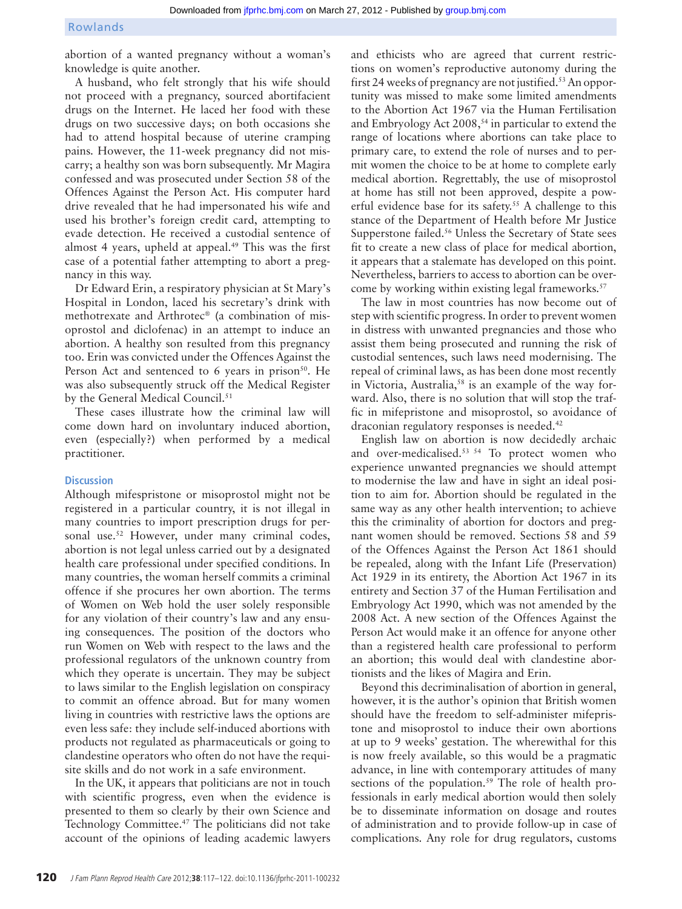abortion of a wanted pregnancy without a woman's knowledge is quite another.

A husband, who felt strongly that his wife should not proceed with a pregnancy, sourced abortifacient drugs on the Internet. He laced her food with these drugs on two successive days; on both occasions she had to attend hospital because of uterine cramping pains. However, the 11-week pregnancy did not miscarry; a healthy son was born subsequently. Mr Magira confessed and was prosecuted under Section 58 of the Offences Against the Person Act. His computer hard drive revealed that he had impersonated his wife and used his brother's foreign credit card, attempting to evade detection. He received a custodial sentence of almost 4 years, upheld at appeal. $49$  This was the first case of a potential father attempting to abort a pregnancy in this way.

Dr Edward Erin, a respiratory physician at St Mary's Hospital in London, laced his secretary's drink with methotrexate and Arthrotec® (a combination of misoprostol and diclofenac) in an attempt to induce an abortion. A healthy son resulted from this pregnancy too. Erin was convicted under the Offences Against the Person Act and sentenced to 6 years in prison $50$ . He was also subsequently struck off the Medical Register by the General Medical Council.<sup>51</sup>

These cases illustrate how the criminal law will come down hard on involuntary induced abortion, even (especially?) when performed by a medical practitioner.

#### **Discussion**

Although mifespristone or misoprostol might not be registered in a particular country, it is not illegal in many countries to import prescription drugs for personal use.<sup>52</sup> However, under many criminal codes, abortion is not legal unless carried out by a designated health care professional under specified conditions. In many countries, the woman herself commits a criminal offence if she procures her own abortion. The terms of Women on Web hold the user solely responsible for any violation of their country's law and any ensuing consequences. The position of the doctors who run Women on Web with respect to the laws and the professional regulators of the unknown country from which they operate is uncertain. They may be subject to laws similar to the English legislation on conspiracy to commit an offence abroad. But for many women living in countries with restrictive laws the options are even less safe: they include self-induced abortions with products not regulated as pharmaceuticals or going to clandestine operators who often do not have the requisite skills and do not work in a safe environment.

In the UK, it appears that politicians are not in touch with scientific progress, even when the evidence is presented to them so clearly by their own Science and Technology Committee.47 The politicians did not take account of the opinions of leading academic lawyers

and ethicists who are agreed that current restrictions on women's reproductive autonomy during the first 24 weeks of pregnancy are not justified.53 An opportunity was missed to make some limited amendments to the Abortion Act 1967 via the Human Fertilisation and Embryology Act  $2008<sub>1</sub><sup>54</sup>$  in particular to extend the range of locations where abortions can take place to primary care, to extend the role of nurses and to permit women the choice to be at home to complete early medical abortion. Regrettably, the use of misoprostol at home has still not been approved, despite a powerful evidence base for its safety.<sup>55</sup> A challenge to this stance of the Department of Health before Mr Justice Supperstone failed.<sup>56</sup> Unless the Secretary of State sees fit to create a new class of place for medical abortion, it appears that a stalemate has developed on this point. Nevertheless, barriers to access to abortion can be overcome by working within existing legal frameworks.<sup>57</sup>

The law in most countries has now become out of step with scientific progress. In order to prevent women in distress with unwanted pregnancies and those who assist them being prosecuted and running the risk of custodial sentences, such laws need modernising. The repeal of criminal laws, as has been done most recently in Victoria, Australia, $58$  is an example of the way forward. Also, there is no solution that will stop the traffic in mifepristone and misoprostol, so avoidance of draconian regulatory responses is needed.<sup>42</sup>

English law on abortion is now decidedly archaic and over-medicalised.53 54 To protect women who experience unwanted pregnancies we should attempt to modernise the law and have in sight an ideal position to aim for. Abortion should be regulated in the same way as any other health intervention; to achieve this the criminality of abortion for doctors and pregnant women should be removed. Sections 58 and 59 of the Offences Against the Person Act 1861 should be repealed, along with the Infant Life (Preservation) Act 1929 in its entirety, the Abortion Act 1967 in its entirety and Section 37 of the Human Fertilisation and Embryology Act 1990, which was not amended by the 2008 Act. A new section of the Offences Against the Person Act would make it an offence for anyone other than a registered health care professional to perform an abortion; this would deal with clandestine abortionists and the likes of Magira and Erin.

Beyond this decriminalisation of abortion in general, however, it is the author's opinion that British women should have the freedom to self-administer mifepristone and misoprostol to induce their own abortions at up to 9 weeks' gestation. The wherewithal for this is now freely available, so this would be a pragmatic advance, in line with contemporary attitudes of many sections of the population.<sup>59</sup> The role of health professionals in early medical abortion would then solely be to disseminate information on dosage and routes of administration and to provide follow-up in case of complications. Any role for drug regulators, customs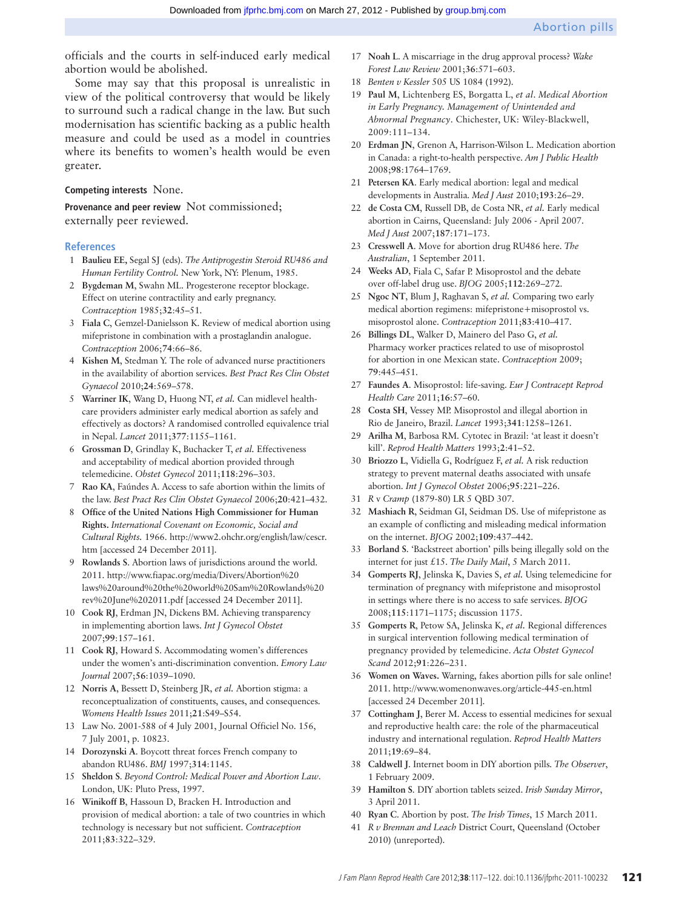officials and the courts in self-induced early medical abortion would be abolished.

Some may say that this proposal is unrealistic in view of the political controversy that would be likely to surround such a radical change in the law. But such modernisation has scientific backing as a public health measure and could be used as a model in countries where its benefits to women's health would be even greater.

#### **Competing interests** None.

**Provenance and peer review** Not commissioned; externally peer reviewed.

#### **References**

- 1 **Baulieu EE,** Segal SJ (eds). *The Antiprogestin Steroid RU486 and Human Fertility Control.* New York, NY: Plenum, 1985.
- 2 **Bygdeman M**, Swahn ML. Progesterone receptor blockage. Effect on uterine contractility and early pregnancy. *Contraception* 1985;**32**:45–51.
- 3 **Fiala C**, Gemzel-Danielsson K. Review of medical abortion using mifepristone in combination with a prostaglandin analogue. *Contraception* 2006;**74**:66–86.
- 4 **Kishen M**, Stedman Y. The role of advanced nurse practitioners in the availability of abortion services. *Best Pract Res Clin Obstet Gynaecol* 2010;**24**:569–578.
- 5 **Warriner IK**, Wang D, Huong NT, *et al.* Can midlevel healthcare providers administer early medical abortion as safely and effectively as doctors? A randomised controlled equivalence trial in Nepal. *Lancet* 2011;**377**:1155–1161.
- 6 **Grossman D**, Grindlay K, Buchacker T, *et al.* Effectiveness and acceptability of medical abortion provided through telemedicine. *Obstet Gynecol* 2011;**118**:296–303.
- 7 **Rao KA**, Faúndes A. Access to safe abortion within the limits of the law. *Best Pract Res Clin Obstet Gynaecol* 2006;**20**:421–432.
- 8 **Office of the United Nations High Commissioner for Human Rights.** *International Covenant on Economic, Social and Cultural Rights.* 1966. http://www2.ohchr.org/english/law/cescr. htm [accessed 24 December 2011].
- 9 **Rowlands S**. Abortion laws of jurisdictions around the world. 2011. http://www.fiapac.org/media/Divers/Abortion%20 laws%20around%20the%20world%20Sam%20Rowlands%20 rev%20June%202011.pdf [accessed 24 December 2011].
- 10 **Cook RJ**, Erdman JN, Dickens BM. Achieving transparency in implementing abortion laws. *Int J Gynecol Obstet* 2007;**99**:157–161.
- 11 **Cook RJ**, Howard S. Accommodating women's differences under the women's anti-discrimination convention. *Emory Law Journal* 2007;**56**:1039–1090.
- 12 **Norris A**, Bessett D, Steinberg JR, *et al.* Abortion stigma: a reconceptualization of constituents, causes, and consequences. *Womens Health Issues* 2011;**21**:S49–S54.
- 13 Law No. 2001-588 of 4 July 2001, Journal Officiel No. 156, 7 July 2001, p. 10823.
- 14 **Dorozynski A**. Boycott threat forces French company to abandon RU486. *BMJ* 1997;**314**:1145.
- 15 **Sheldon S**. *Beyond Control: Medical Power and Abortion Law*. London, UK: Pluto Press, 1997.
- 16 **Winikoff B**, Hassoun D, Bracken H. Introduction and provision of medical abortion: a tale of two countries in which technology is necessary but not sufficient. *Contraception* 2011;**83**:322–329.
- 17 **Noah L**. A miscarriage in the drug approval process? *Wake Forest Law Review* 2001;**36**:571–603.
- 18 *Benten v Kessler* 505 US 1084 (1992).
- 19 **Paul M**, Lichtenberg ES, Borgatta L, *et al*. *Medical Abortion in Early Pregnancy. Management of Unintended and Abnormal Pregnancy*. Chichester, UK: Wiley-Blackwell, 2009:111–134.
- 20 **Erdman JN**, Grenon A, Harrison-Wilson L. Medication abortion in Canada: a right-to-health perspective. *Am J Public Health* 2008;**98**:1764–1769.
- 21 **Petersen KA**. Early medical abortion: legal and medical developments in Australia. *Med J Aust* 2010;**193**:26–29.
- 22 **de Costa CM**, Russell DB, de Costa NR, *et al.* Early medical abortion in Cairns, Queensland: July 2006 - April 2007. *Med J Aust* 2007;**187**:171–173.
- 23 **Cresswell A**. Move for abortion drug RU486 here. *The Australian*, 1 September 2011.
- 24 **Weeks AD**, Fiala C, Safar P. Misoprostol and the debate over off-label drug use. *BJOG* 2005;**112**:269–272.
- 25 **Ngoc NT**, Blum J, Raghavan S, *et al.* Comparing two early medical abortion regimens: mifepristone+misoprostol vs. misoprostol alone. *Contraception* 2011;**83**:410–417.
- 26 **Billings DL**, Walker D, Mainero del Paso G, *et al.* Pharmacy worker practices related to use of misoprostol for abortion in one Mexican state. *Contraception* 2009; **79**:445–451.
- 27 **Faundes A**. Misoprostol: life-saving. *Eur J Contracept Reprod Health Care* 2011;**16**:57–60.
- 28 **Costa SH**, Vessey MP. Misoprostol and illegal abortion in Rio de Janeiro, Brazil. *Lancet* 1993;**341**:1258–1261.
- 29 **Arilha M**, Barbosa RM. Cytotec in Brazil: 'at least it doesn't kill'. *Reprod Health Matters* 1993;**2**:41–52.
- 30 **Briozzo L**, Vidiella G, Rodríguez F, *et al.* A risk reduction strategy to prevent maternal deaths associated with unsafe abortion. *Int J Gynecol Obstet* 2006;**95**:221–226.
- 31 *R* v *Cramp* (1879-80) LR 5 QBD 307.
- 32 **Mashiach R**, Seidman GI, Seidman DS. Use of mifepristone as an example of conflicting and misleading medical information on the internet. *BJOG* 2002;**109**:437–442.
- 33 **Borland S**. 'Backstreet abortion' pills being illegally sold on the internet for just £15. *The Daily Mail*, 5 March 2011.
- 34 **Gomperts RJ**, Jelinska K, Davies S, *et al.* Using telemedicine for termination of pregnancy with mifepristone and misoprostol in settings where there is no access to safe services. *BJOG* 2008;**115**:1171–1175; discussion 1175.
- 35 **Gomperts R**, Petow SA, Jelinska K, *et al.* Regional differences in surgical intervention following medical termination of pregnancy provided by telemedicine. *Acta Obstet Gynecol Scand* 2012;**91**:226–231.
- 36 **Women on Waves.** Warning, fakes abortion pills for sale online! 2011. http://www.womenonwaves.org/article-445-en.html [accessed 24 December 2011].
- 37 **Cottingham J**, Berer M. Access to essential medicines for sexual and reproductive health care: the role of the pharmaceutical industry and international regulation. *Reprod Health Matters* 2011;**19**:69–84.
- 38 **Caldwell J**. Internet boom in DIY abortion pills. *The Observer*, 1 February 2009.
- 39 **Hamilton S**. DIY abortion tablets seized. *Irish Sunday Mirror*, 3 April 2011.
- 40 **Ryan C**. Abortion by post. *The Irish Times*, 15 March 2011.
- 41 *R v Brennan and Leach* District Court, Queensland (October 2010) (unreported).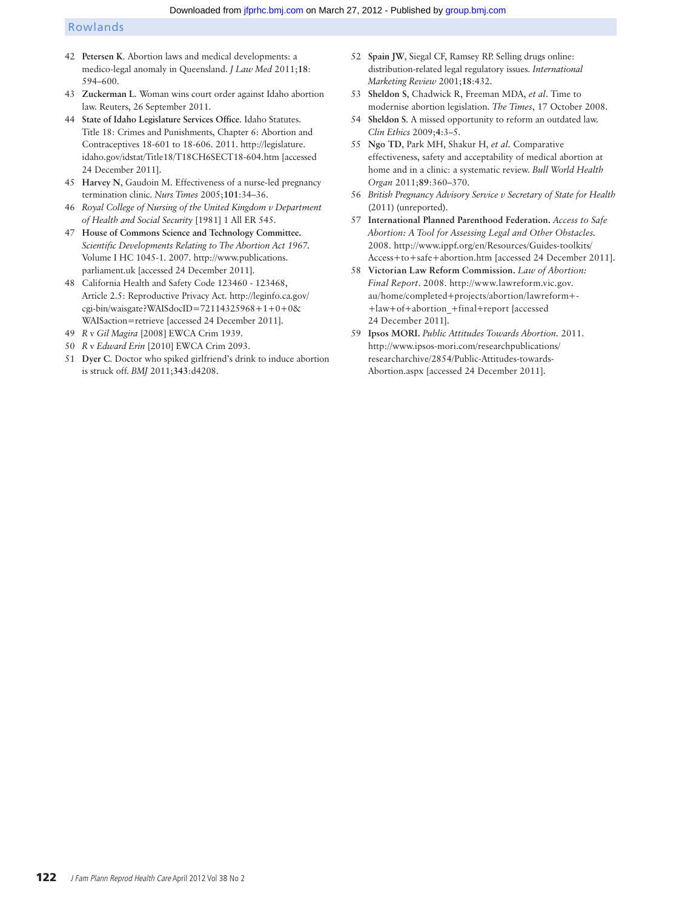- 42 **Petersen K**. Abortion laws and medical developments: a medico-legal anomaly in Queensland. *J Law Med* 2011;**18**: 594–600.
- 43 **Zuckerman L**. Woman wins court order against Idaho abortion law. Reuters, 26 September 2011.
- 44 **State of Idaho Legislature Services Office**. Idaho Statutes. Title 18: Crimes and Punishments, Chapter 6: Abortion and Contraceptives 18-601 to 18-606. 2011. http://legislature. idaho.gov/idstat/Title18/T18CH6SECT18-604.htm [accessed 24 December 2011].
- 45 **Harvey N**, Gaudoin M. Effectiveness of a nurse-led pregnancy termination clinic. *Nurs Times* 2005;**101**:34–36.
- 46 *Royal College of Nursing of the United Kingdom v Department of Health and Social Security* [1981] 1 All ER 545.
- 47 **House of Commons Science and Technology Committee.** *Scientific Developments Relating to The Abortion Act 1967.*  Volume I HC 1045-1. 2007. http://www.publications. parliament.uk [accessed 24 December 2011].
- 48 California Health and Safety Code 123460 123468, Article 2.5: Reproductive Privacy Act. http://leginfo.ca.gov/ cgi-bin/waisgate?WAISdocID=72114325968+1+0+0& WAISaction=retrieve [accessed 24 December 2011].
- 49 *R* v *Gil Magira* [2008] EWCA Crim 1939.
- 50 *R* v *Edward Erin* [2010] EWCA Crim 2093.
- 51 **Dyer C**. Doctor who spiked girlfriend's drink to induce abortion is struck off. *BMJ* 2011;**343**:d4208.
- 52 **Spain JW**, Siegal CF, Ramsey RP. Selling drugs online: distribution-related legal regulatory issues. *International Marketing Review* 2001;**18**:432.
- 53 **Sheldon S**, Chadwick R, Freeman MDA, *et al*. Time to modernise abortion legislation. *The Times*, 17 October 2008.
- 54 **Sheldon S**. A missed opportunity to reform an outdated law. *Clin Ethics* 2009;**4**:3–5.
- 55 **Ngo TD**, Park MH, Shakur H, *et al.* Comparative effectiveness, safety and acceptability of medical abortion at home and in a clinic: a systematic review. *Bull World Health Organ* 2011;**89**:360–370.
- 56 *British Pregnancy Advisory Service v Secretary of State for Health*  (2011) (unreported).
- 57 **International Planned Parenthood Federation.** *Access to Safe Abortion: A Tool for Assessing Legal and Other Obstacles.*  2008. http://www.ippf.org/en/Resources/Guides-toolkits/ Access+to+safe+abortion.htm [accessed 24 December 2011].
- 58 **Victorian Law Reform Commission.** *Law of Abortion: Final Report*. 2008. http://www.lawreform.vic.gov. au/home/completed+projects/abortion/lawreform+- +law+of+abortion\_+final+report [accessed 24 December 2011].
- 59 **Ipsos MORI.** *Public Attitudes Towards Abortion.* 2011. http://www.ipsos-mori.com/researchpublications/ researcharchive/2854/Public-Attitudes-towards-Abortion.aspx [accessed 24 December 2011].